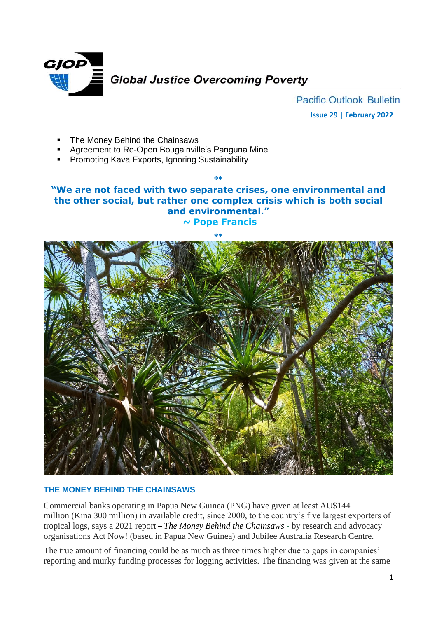

**Pacific Outlook Bulletin Issue 29 | February 2022**

- The Money Behind the Chainsaws
- Agreement to Re-Open Bougainville's Panguna Mine
- Promoting Kava Exports, Ignoring Sustainability

## **"We are not faced with two separate crises, one environmental and the other social, but rather one complex crisis which is both social and environmental." ~ Pope Francis**

**\*\***



## **THE MONEY BEHIND THE CHAINSAWS**

Commercial banks operating in Papua New Guinea (PNG) have given at least AU\$144 million (Kina 300 million) in available credit, since 2000, to the country's five largest exporters of tropical logs, says a 2021 report – *The Money Behind the Chainsaws* - by research and advocacy organisations Act Now! (based in Papua New Guinea) and Jubilee Australia Research Centre.

The true amount of financing could be as much as three times higher due to gaps in companies' reporting and murky funding processes for logging activities. The financing was given at the same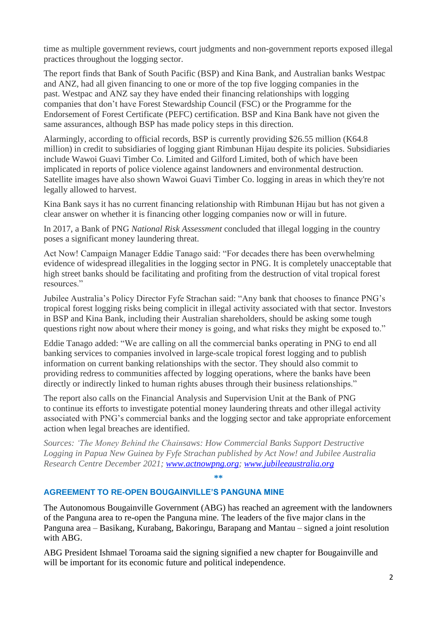time as multiple government reviews, court judgments and non-government reports exposed illegal practices throughout the logging sector.

The report finds that Bank of South Pacific (BSP) and Kina Bank, and Australian banks Westpac and ANZ, had all given financing to one or more of the top five logging companies in the past. Westpac and ANZ say they have ended their financing relationships with logging companies that don't have Forest Stewardship Council (FSC) or the Programme for the Endorsement of Forest Certificate (PEFC) certification. BSP and Kina Bank have not given the same assurances, although BSP has made policy steps in this direction.

Alarmingly, according to official records, BSP is currently providing \$26.55 million (K64.8 million) in credit to subsidiaries of logging giant Rimbunan Hijau despite its policies. Subsidiaries include Wawoi Guavi Timber Co. Limited and Gilford Limited, both of which have been implicated in reports of police violence against landowners and environmental destruction. Satellite images have also shown Wawoi Guavi Timber Co. logging in areas in which they're not legally allowed to harvest.

Kina Bank says it has no current financing relationship with Rimbunan Hijau but has not given a clear answer on whether it is financing other logging companies now or will in future.

In 2017, a Bank of PNG *National Risk Assessment* concluded that illegal logging in the country poses a significant money laundering threat.

Act Now! Campaign Manager Eddie Tanago said: "For decades there has been overwhelming evidence of widespread illegalities in the logging sector in PNG. It is completely unacceptable that high street banks should be facilitating and profiting from the destruction of vital tropical forest resources."

Jubilee Australia's Policy Director Fyfe Strachan said: "Any bank that chooses to finance PNG's tropical forest logging risks being complicit in illegal activity associated with that sector. Investors in BSP and Kina Bank, including their Australian shareholders, should be asking some tough questions right now about where their money is going, and what risks they might be exposed to."

Eddie Tanago added: "We are calling on all the commercial banks operating in PNG to end all banking services to companies involved in large-scale tropical forest logging and to publish information on current banking relationships with the sector. They should also commit to providing redress to communities affected by logging operations, where the banks have been directly or indirectly linked to human rights abuses through their business relationships."

The report also calls on the Financial Analysis and Supervision Unit at the Bank of PNG to continue its efforts to investigate potential money laundering threats and other illegal activity associated with PNG's commercial banks and the logging sector and take appropriate enforcement action when legal breaches are identified.

*Sources: 'The Money Behind the Chainsaws: How Commercial Banks Support Destructive Logging in Papua New Guinea by Fyfe Strachan published by Act Now! and Jubilee Australia Research Centre December 2021; [www.actnowpng.org;](http://www.actnowpng.org/) [www.jubileeaustralia.org](http://www.jubileeaustralia.org/)*

## **AGREEMENT TO RE-OPEN BOUGAINVILLE'S PANGUNA MINE**

The Autonomous Bougainville Government (ABG) has reached an agreement with the landowners of the Panguna area to re-open the Panguna mine. The leaders of the five major clans in the Panguna area – Basikang, Kurabang, Bakoringu, Barapang and Mantau – signed a joint resolution with ABG.

**\*\***

ABG President Ishmael Toroama said the signing signified a new chapter for Bougainville and will be important for its economic future and political independence.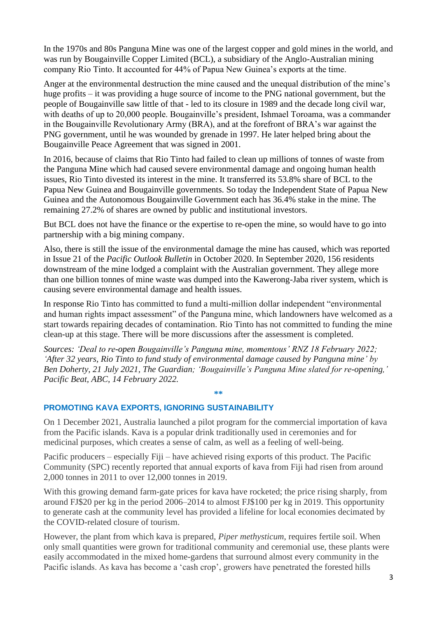In the 1970s and 80s Panguna Mine was one of the largest copper and gold mines in the world, and was run by Bougainville Copper Limited (BCL), a subsidiary of the Anglo-Australian mining company Rio Tinto. It accounted for 44% of Papua New Guinea's exports at the time.

Anger at the environmental destruction the mine caused and the unequal distribution of the mine's huge profits – it was providing a huge source of income to the PNG national government, but the people of Bougainville saw little of that - led to its closure in 1989 and the decade long civil war, with deaths of up to 20,000 people. Bougainville's president, Ishmael Toroama, was a commander in the Bougainville Revolutionary Army (BRA), and at the forefront of BRA's war against the PNG government, until he was wounded by grenade in 1997. He later helped bring about the Bougainville Peace Agreement that was signed in 2001.

In 2016, because of claims that Rio Tinto had failed to clean up millions of tonnes of waste from the Panguna Mine which had caused severe environmental damage and ongoing human health issues, Rio Tinto divested its interest in the mine. It transferred its 53.8% share of BCL to the Papua New Guinea and Bougainville governments. So today the Independent State of Papua New Guinea and the Autonomous Bougainville Government each has 36.4% stake in the mine. The remaining 27.2% of shares are owned by public and institutional investors.

But BCL does not have the finance or the expertise to re-open the mine, so would have to go into partnership with a big mining company.

Also, there is still the issue of the environmental damage the mine has caused, which was reported in Issue 21 of the *Pacific Outlook Bulletin* in October 2020. In September 2020, 156 residents downstream of the mine lodged a complaint with the Australian government. They allege more than one billion tonnes of mine waste was dumped into the Kawerong-Jaba river system, which is causing severe environmental damage and health issues.

In response Rio Tinto has committed to fund a multi-million dollar independent "environmental and human rights impact assessment" of the Panguna mine, which landowners have welcomed as a start towards repairing decades of contamination. Rio Tinto has not committed to funding the mine clean-up at this stage. There will be more discussions after the assessment is completed.

*Sources: 'Deal to re-open Bougainville's Panguna mine, momentous' RNZ 18 February 2022; 'After 32 years, Rio Tinto to fund study of environmental damage caused by Panguna mine' by Ben Doherty, 21 July 2021, The Guardian; 'Bougainville's Panguna Mine slated for re-opening,' Pacific Beat, ABC, 14 February 2022.*

**\*\***

## **PROMOTING KAVA EXPORTS, IGNORING SUSTAINABILITY***commercial k*

On 1 December 2021, Australia launched a pilot program for the commercial importation of kava from the Pacific islands. Kava is a popular drink traditionally used in ceremonies and for medicinal purposes, which creates a sense of calm, as well as a feeling of well-being.

Pacific producers – especially Fiji – have achieved rising exports of this product. The Pacific Community (SPC) recently reported that annual exports of kava from Fiji had risen from around 2,000 tonnes in 2011 to over 12,000 tonnes in 2019.

With this growing demand farm-gate prices for kava have rocketed; the price rising sharply, from around FJ\$20 per kg in the period 2006–2014 to almost FJ\$100 per kg in 2019. This opportunity to generate cash at the community level has provided a lifeline for local economies decimated by the COVID-related closure of tourism.

However, the plant from which kava is prepared, *Piper methysticum*, requires fertile soil. When only small quantities were grown for traditional community and ceremonial use, these plants were easily accommodated in the mixed home-gardens that surround almost every community in the Pacific islands. As kava has become a 'cash crop', growers have penetrated the forested hills